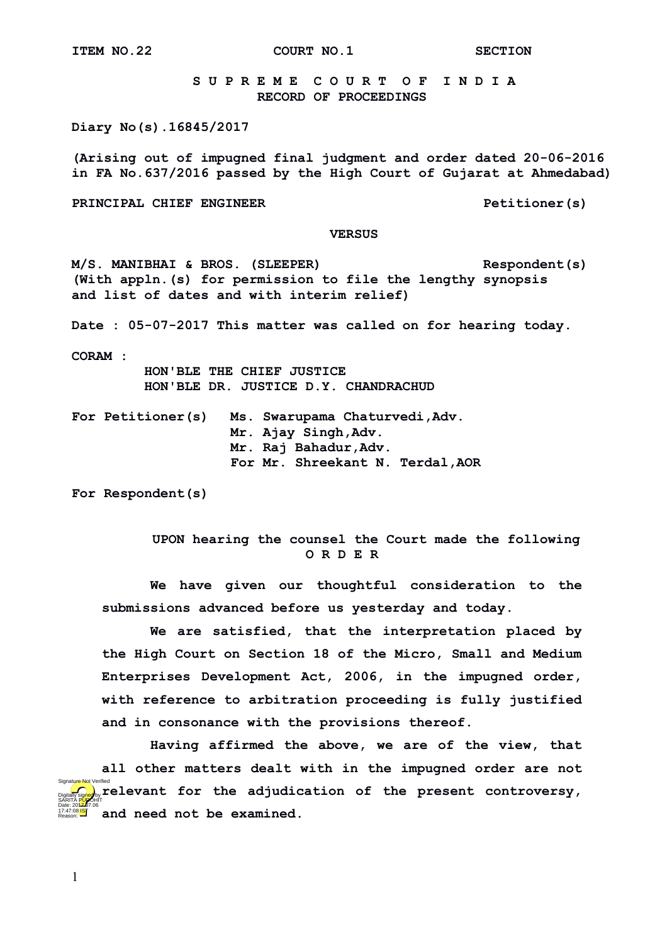**ITEM NO.22 COURT NO.1 SECTION** 

 **S U P R E M E C O U R T O F I N D I A RECORD OF PROCEEDINGS**

**Diary No(s).16845/2017**

**(Arising out of impugned final judgment and order dated 20-06-2016 in FA No.637/2016 passed by the High Court of Gujarat at Ahmedabad)**

**PRINCIPAL CHIEF ENGINEER PETITIONER PETITIONER PETITIONER PETITIONER** 

## **VERSUS**

**M/S. MANIBHAI & BROS. (SLEEPER) Respondent(s) (With appln.(s) for permission to file the lengthy synopsis and list of dates and with interim relief)**

**Date : 05-07-2017 This matter was called on for hearing today.**

**CORAM :** 

 **HON'BLE THE CHIEF JUSTICE HON'BLE DR. JUSTICE D.Y. CHANDRACHUD**

**For Petitioner(s) Ms. Swarupama Chaturvedi,Adv. Mr. Ajay Singh,Adv. Mr. Raj Bahadur,Adv. For Mr. Shreekant N. Terdal,AOR**

**For Respondent(s)**

## **UPON hearing the counsel the Court made the following O R D E R**

**We have given our thoughtful consideration to the submissions advanced before us yesterday and today.**

**We are satisfied, that the interpretation placed by the High Court on Section 18 of the Micro, Small and Medium Enterprises Development Act, 2006, in the impugned order, with reference to arbitration proceeding is fully justified and in consonance with the provisions thereof.**

**Having affirmed the above, we are of the view, that all other matters dealt with in the impugned order are not relevant for the adjudication of the present controversy, and need not be examined.** Digitally signed by SARITA <mark>pur</mark>ohit Date: 2017.06 17:47:08 IST Reason: Signature Not Verified